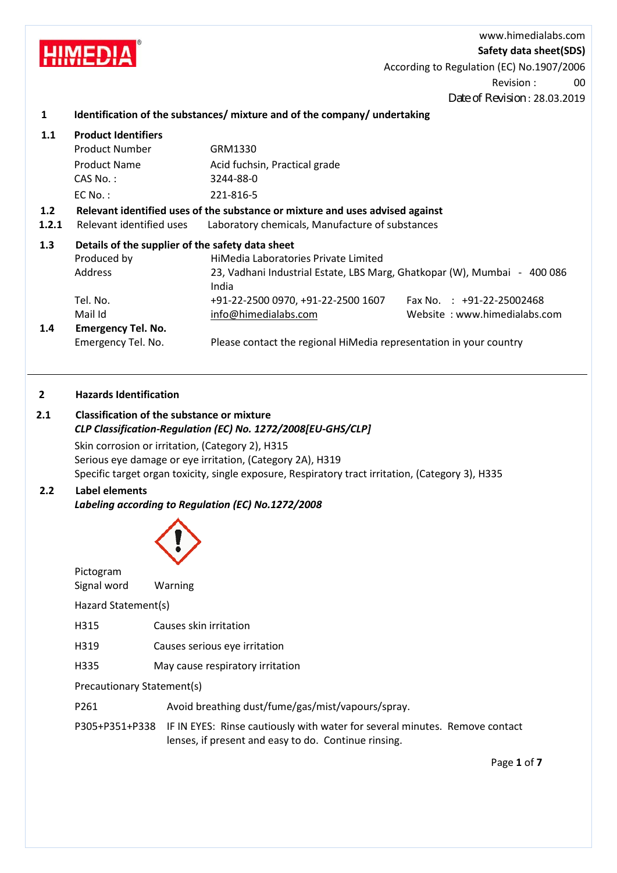www.himedialabs.com

**Safety data sheet(SDS)**

According to Regulation (EC) No.1907/2006

Revision : 00

Date of Revision : 28.03.2019

## **1 Identification of the substances/ mixture and of the company/ undertaking**

| <b>Product Identifiers</b>                                                    |                                                                          |                                                                                                                                                                            |  |
|-------------------------------------------------------------------------------|--------------------------------------------------------------------------|----------------------------------------------------------------------------------------------------------------------------------------------------------------------------|--|
| Product Number                                                                | GRM1330                                                                  |                                                                                                                                                                            |  |
| Product Name                                                                  | Acid fuchsin, Practical grade                                            |                                                                                                                                                                            |  |
| $CAS No.$ :                                                                   | 3244-88-0                                                                |                                                                                                                                                                            |  |
| $EC$ No.:                                                                     | 221-816-5                                                                |                                                                                                                                                                            |  |
| Relevant identified uses of the substance or mixture and uses advised against |                                                                          |                                                                                                                                                                            |  |
| Relevant identified uses                                                      |                                                                          |                                                                                                                                                                            |  |
|                                                                               |                                                                          |                                                                                                                                                                            |  |
| Produced by                                                                   | HiMedia Laboratories Private Limited                                     |                                                                                                                                                                            |  |
| Address                                                                       | 23, Vadhani Industrial Estate, LBS Marg, Ghatkopar (W), Mumbai - 400 086 |                                                                                                                                                                            |  |
|                                                                               |                                                                          | Fax No. $\div$ +91-22-25002468                                                                                                                                             |  |
|                                                                               |                                                                          | Website: www.himedialabs.com                                                                                                                                               |  |
| <b>Emergency Tel. No.</b>                                                     |                                                                          |                                                                                                                                                                            |  |
| Emergency Tel. No.                                                            | Please contact the regional HiMedia representation in your country       |                                                                                                                                                                            |  |
|                                                                               | Tel. No.<br>Mail Id                                                      | Laboratory chemicals, Manufacture of substances<br>Details of the supplier of the safety data sheet<br>India<br>+91-22-2500 0970, +91-22-2500 1607<br>info@himedialabs.com |  |

### **2 Hazards Identification**

**HIMFDIA** 

# **2.1 Classification of the substance or mixture** *CLP Classification-Regulation (EC) No. 1272/2008[EU-GHS/CLP]*

Skin corrosion or irritation, (Category 2), H315 Serious eye damage or eye irritation, (Category 2A), H319 Specific target organ toxicity, single exposure, Respiratory tract irritation, (Category 3), H335

# **2.2 Label elements**

*Labeling according to Regulation (EC) No.1272/2008*



| Pictogram<br>Signal word   | <b>Warning</b>                                                                             |  |  |  |
|----------------------------|--------------------------------------------------------------------------------------------|--|--|--|
| Hazard Statement(s)        |                                                                                            |  |  |  |
| H315                       | Causes skin irritation                                                                     |  |  |  |
| H319                       | Causes serious eye irritation                                                              |  |  |  |
| H335                       | May cause respiratory irritation                                                           |  |  |  |
| Precautionary Statement(s) |                                                                                            |  |  |  |
| P <sub>261</sub>           | Avoid breathing dust/fume/gas/mist/vapours/spray.                                          |  |  |  |
|                            | P305+P351+P338 IF IN EYES: Rinse cautiously with water for several minutes. Remove contact |  |  |  |

lenses, if present and easy to do. Continue rinsing.

Page **1** of **7**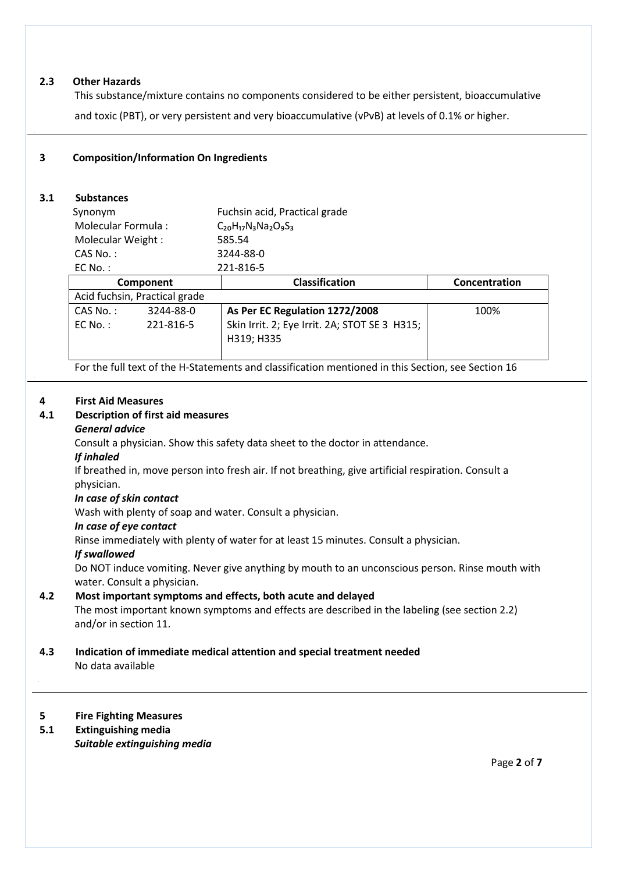### **2.3 Other Hazards**

This substance/mixture contains no components considered to be either persistent, bioaccumulative and toxic (PBT), or very persistent and very bioaccumulative (vPvB) at levels of 0.1% or higher.

## **3 Composition/Information On Ingredients**

## **3.1 Substances**

| Synonym                       |           | Fuchsin acid, Practical grade                 |               |
|-------------------------------|-----------|-----------------------------------------------|---------------|
| Molecular Formula:            |           | $C_{20}H_{17}N_3Na_2O_9S_3$                   |               |
| Molecular Weight:             |           | 585.54                                        |               |
| $CAS No.$ :                   |           | 3244-88-0                                     |               |
| $EC$ No.:                     |           | 221-816-5                                     |               |
| Component                     |           | <b>Classification</b>                         | Concentration |
| Acid fuchsin, Practical grade |           |                                               |               |
| CAS No.:                      | 3244-88-0 | As Per EC Regulation 1272/2008                | 100%          |
| $FC No.$ :                    | 221-816-5 | Skin Irrit. 2; Eye Irrit. 2A; STOT SE 3 H315; |               |
|                               |           | H319; H335                                    |               |
|                               |           |                                               |               |

For the full text of the H-Statements and classification mentioned in this Section, see Section 16

### **4 First Aid Measures**

.

# **4.1 Description of first aid measures**

# *General advice*

Consult a physician. Show this safety data sheet to the doctor in attendance.

#### *If inhaled*

If breathed in, move person into fresh air. If not breathing, give artificial respiration. Consult a physician.

### *In case of skin contact*

Wash with plenty of soap and water. Consult a physician.

#### *In case of eye contact*

Rinse immediately with plenty of water for at least 15 minutes. Consult a physician.

### *If swallowed*

Do NOT induce vomiting. Never give anything by mouth to an unconscious person. Rinse mouth with water. Consult a physician.

## **4.2 Most important symptoms and effects, both acute and delayed**

The most important known symptoms and effects are described in the labeling (see section 2.2) and/or in section 11.

#### **4.3 Indication of immediate medical attention and special treatment needed** No data available

### **5 Fire Fighting Measures**

 **5.1 Extinguishing media** *Suitable extinguishing media*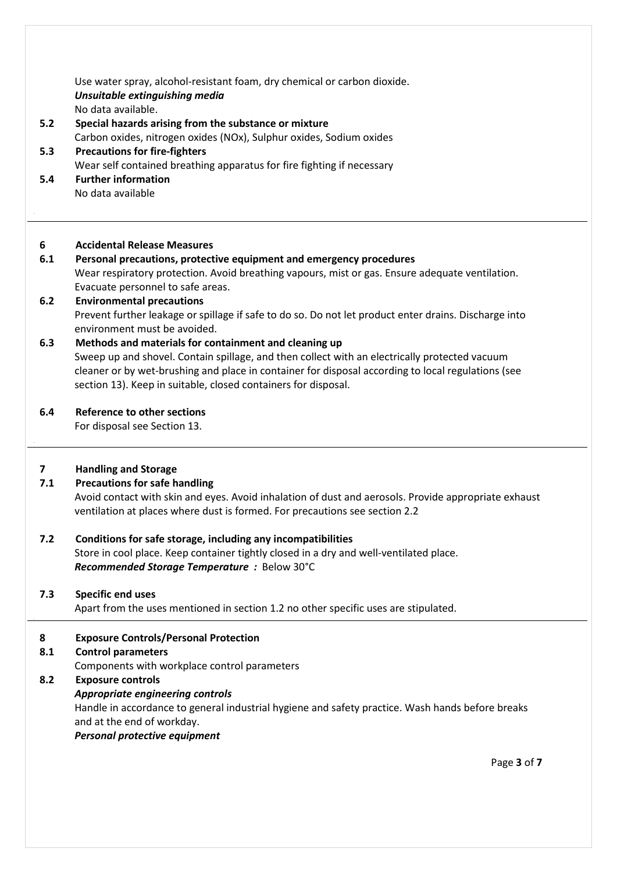Use water spray, alcohol-resistant foam, dry chemical or carbon dioxide. *Unsuitable extinguishing media* No data available.

- **5.2 Special hazards arising from the substance or mixture** Carbon oxides, nitrogen oxides (NOx), Sulphur oxides, Sodium oxides  **5.3 Precautions for fire-fighters**
	- Wear self contained breathing apparatus for fire fighting if necessary
- **5.4 Further information** No data available

## **6 Accidental Release Measures**

# **6.1 Personal precautions, protective equipment and emergency procedures**

Wear respiratory protection. Avoid breathing vapours, mist or gas. Ensure adequate ventilation. Evacuate personnel to safe areas.

#### **6.2 Environmental precautions** Prevent further leakage or spillage if safe to do so. Do not let product enter drains. Discharge into environment must be avoided.

## **6.3 Methods and materials for containment and cleaning up** Sweep up and shovel. Contain spillage, and then collect with an electrically protected vacuum cleaner or by wet-brushing and place in container for disposal according to local regulations (see section 13). Keep in suitable, closed containers for disposal.

## **6.4 Reference to other sections**

For disposal see Section 13.

## **7 Handling and Storage**

.

## **7.1 Precautions for safe handling**

Avoid contact with skin and eyes. Avoid inhalation of dust and aerosols. Provide appropriate exhaust ventilation at places where dust is formed. For precautions see section 2.2

 **7.2 Conditions for safe storage, including any incompatibilities** Store in cool place. Keep container tightly closed in a dry and well-ventilated place. *Recommended Storage Temperature :*Below 30°C

### **7.3 Specific end uses**

Apart from the uses mentioned in section 1.2 no other specific uses are stipulated.

## **8 Exposure Controls/Personal Protection**

### **8.1 Control parameters**

Components with workplace control parameters

### **8.2 Exposure controls**

### *Appropriate engineering controls*

Handle in accordance to general industrial hygiene and safety practice. Wash hands before breaks and at the end of workday.

### *Personal protective equipment*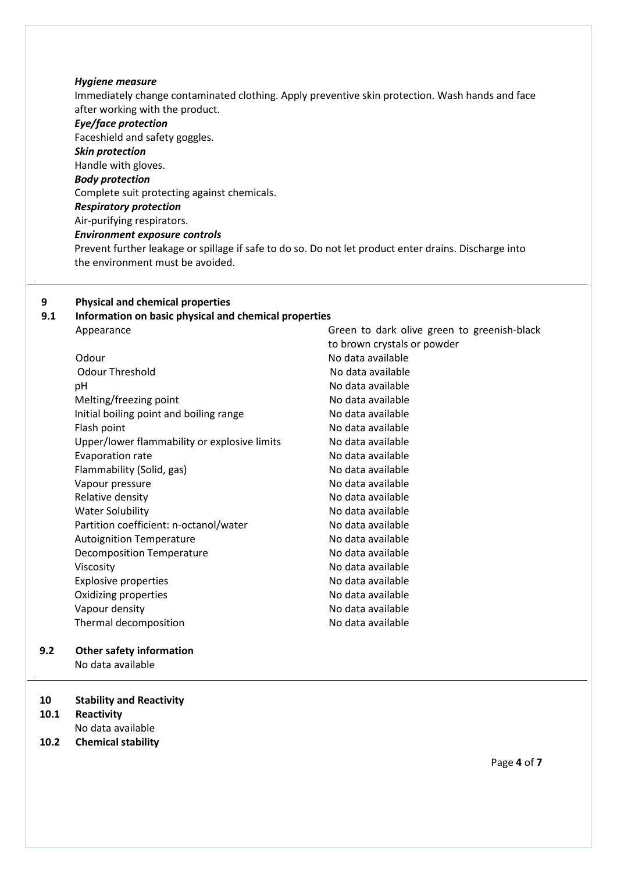#### *Hygiene measure*

Immediately change contaminated clothing. Apply preventive skin protection. Wash hands and face after working with the product.

#### *Eye/face protection*

Faceshield and safety goggles. *Skin protection* Handle with gloves. *Body protection* Complete suit protecting against chemicals. *Respiratory protection* Air-purifying respirators. *Environment exposure controls* Prevent further leakage or spillage if safe to do so. Do not let product enter drains. Discharge into the environment must be avoided.

#### **9 Physical and chemical properties**

### **9.1 Information on basic physical and chemical properties** Appearance Appearance Green to dark olive green to greenish-black

Odour No data available Odour Threshold No data available pH No data available Melting/freezing point No data available Initial boiling point and boiling range No data available Flash point **No data available** Upper/lower flammability or explosive limits No data available Evaporation rate **No assume that available** No data available Flammability (Solid, gas) No data available Vapour pressure No data available Relative density **No. 2018** No data available Water Solubility No data available Partition coefficient: n-octanol/water No data available Autoignition Temperature **No assume that available** No data available Decomposition Temperature No data available Viscosity **No data available** Explosive properties No data available Oxidizing properties and a set of the No data available Vapour density Thermal decomposition

## **9.2 Other safety information**

No data available

#### **10 Stability and Reactivity**

- **10.1 Reactivity**
- No data available
- **10.2 Chemical stability**

to brown crystals or powder No data available

No data available

Page **4** of **7**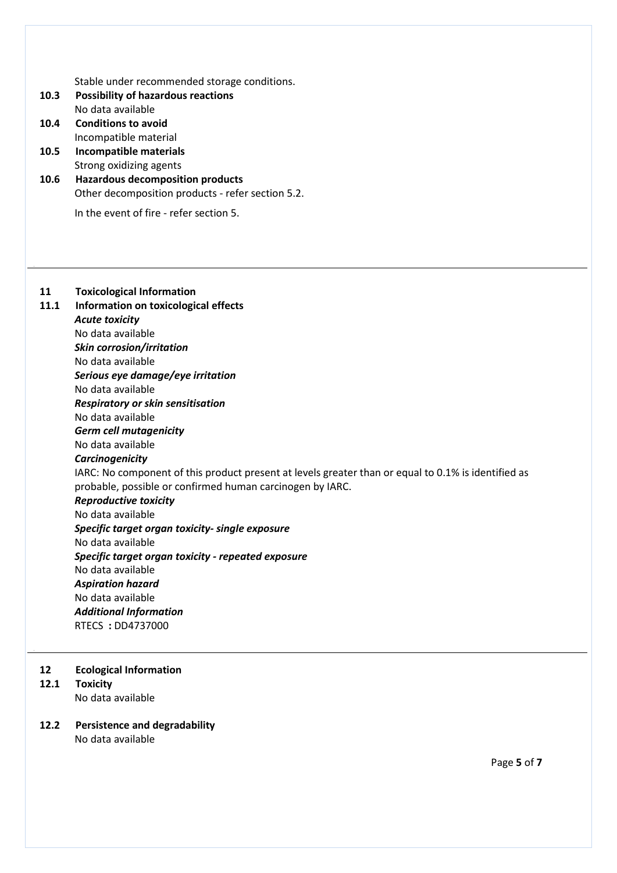Stable under recommended storage conditions.

- **10.3 Possibility of hazardous reactions** No data available
- **10.4 Conditions to avoid** Incompatible material
- **10.5 Incompatible materials** Strong oxidizing agents
- **10.6 Hazardous decomposition products** Other decomposition products - refer section 5.2.

In the event of fire - refer section 5.

# **11 Toxicological Information**

 **11.1 Information on toxicological effects** *Acute toxicity* No data available *Skin corrosion/irritation* No data available *Serious eye damage/eye irritation* No data available *Respiratory or skin sensitisation* No data available *Germ cell mutagenicity* No data available *Carcinogenicity* IARC: No component of this product present at levels greater than or equal to 0.1% is identified as probable, possible or confirmed human carcinogen by IARC. *Reproductive toxicity* No data available *Specific target organ toxicity- single exposure* No data available *Specific target organ toxicity - repeated exposure* No data available *Aspiration hazard* No data available *Additional Information* RTECS **:** DD4737000

#### **12 Ecological Information**

#### **12.1 Toxicity**

.

No data available

# **12.2 Persistence and degradability**

No data available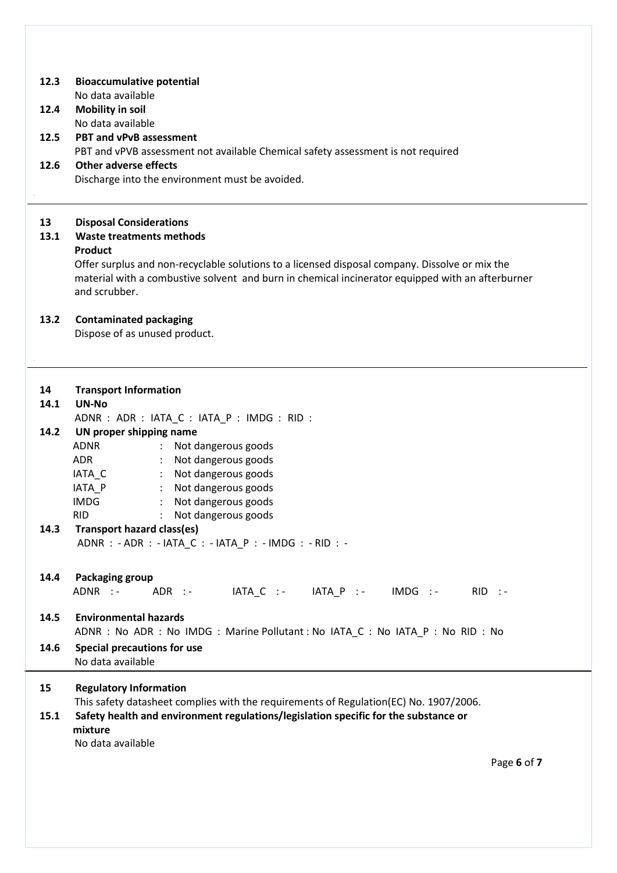### **12.3 Bioaccumulative potential**

No data available

# **12.4 Mobility in soil**

No data available

 **12.5 PBT and vPvB assessment** PBT and vPVB assessment not available Chemical safety assessment is not required

# **12.6 Other adverse effects**

Discharge into the environment must be avoided.

## **13 Disposal Considerations**

## **13.1 Waste treatments methods**

## **Product**

.

Offer surplus and non-recyclable solutions to a licensed disposal company. Dissolve or mix the material with a combustive solvent and burn in chemical incinerator equipped with an afterburner and scrubber.

## **13.2 Contaminated packaging**

Dispose of as unused product.

| 14   | <b>Transport Information</b>                                                          |  |  |
|------|---------------------------------------------------------------------------------------|--|--|
| 14.1 | UN-No                                                                                 |  |  |
|      | ADNR : ADR : IATA C : IATA P : IMDG : RID :                                           |  |  |
| 14.2 | UN proper shipping name                                                               |  |  |
|      | ADNR<br>: Not dangerous goods                                                         |  |  |
|      | : Not dangerous goods<br>ADR                                                          |  |  |
|      | IATA C<br>: Not dangerous goods                                                       |  |  |
|      | IATA_P : Not dangerous goods                                                          |  |  |
|      | IMDG : Not dangerous goods                                                            |  |  |
|      | Not dangerous goods<br><b>RID</b><br>$\mathcal{L}$                                    |  |  |
| 14.3 | Transport hazard class(es)                                                            |  |  |
|      | ADNR : - ADR : - IATA_C : - IATA_P : - IMDG : - RID : -                               |  |  |
|      |                                                                                       |  |  |
| 14.4 | Packaging group                                                                       |  |  |
|      | ADNR :- ADR :- IATA_C :- IATA_P :- IMDG :- RID :-                                     |  |  |
|      |                                                                                       |  |  |
| 14.5 | <b>Environmental hazards</b>                                                          |  |  |
|      | ADNR : No ADR : No IMDG : Marine Pollutant : No IATA_C : No IATA_P : No RID : No      |  |  |
| 14.6 | <b>Special precautions for use</b>                                                    |  |  |
|      | No data available                                                                     |  |  |
|      |                                                                                       |  |  |
| 15   | <b>Regulatory Information</b>                                                         |  |  |
|      | This safety datasheet complies with the requirements of Regulation(EC) No. 1907/2006. |  |  |
| 15.1 | Safety health and environment regulations/legislation specific for the substance or   |  |  |
|      | mixture                                                                               |  |  |
|      | No data available                                                                     |  |  |
|      |                                                                                       |  |  |
|      | Page 6 of 7                                                                           |  |  |